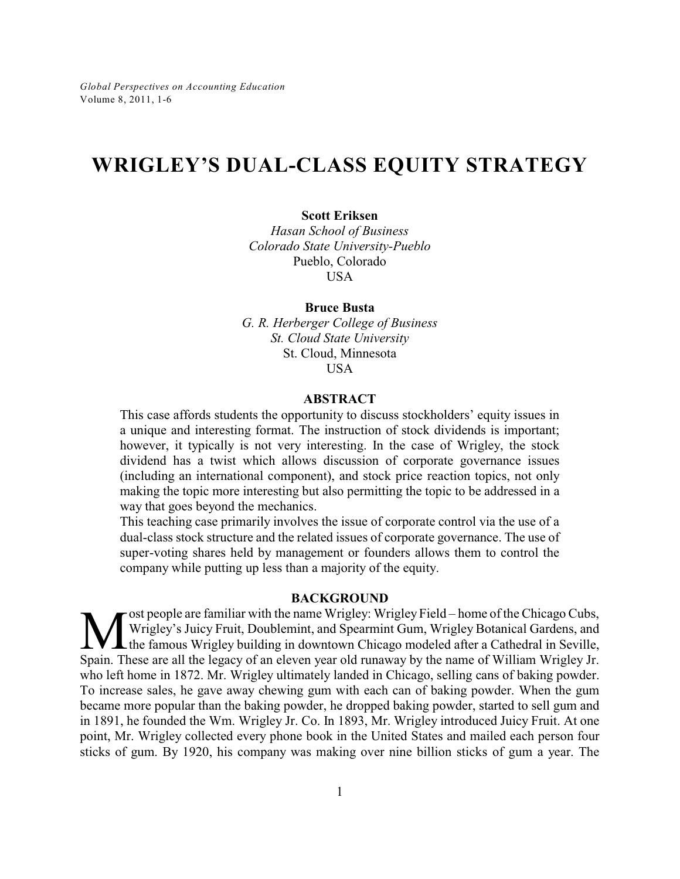# **WRIGLEY'S DUAL-CLASS EQUITY STRATEGY**

#### **Scott Eriksen**

*Hasan School of Business Colorado State University-Pueblo* Pueblo, Colorado **USA** 

#### **Bruce Busta**

*G. R. Herberger College of Business St. Cloud State University* St. Cloud, Minnesota USA

#### **ABSTRACT**

This case affords students the opportunity to discuss stockholders' equity issues in a unique and interesting format. The instruction of stock dividends is important; however, it typically is not very interesting. In the case of Wrigley, the stock dividend has a twist which allows discussion of corporate governance issues (including an international component), and stock price reaction topics, not only making the topic more interesting but also permitting the topic to be addressed in a way that goes beyond the mechanics.

This teaching case primarily involves the issue of corporate control via the use of a dual-class stock structure and the related issues of corporate governance. The use of super-voting shares held by management or founders allows them to control the company while putting up less than a majority of the equity.

## **BACKGROUND**

**M** ost people are familiar with the name Wrigley: Wrigley Field – home of the Chicago Cubs, Wrigley's Juicy Fruit, Doublemint, and Spearmint Gum, Wrigley Botanical Gardens, and the famous Wrigley building in downtown Chic ost people are familiar with the name Wrigley: Wrigley Field – home of the Chicago Cubs, Wrigley's Juicy Fruit, Doublemint, and Spearmint Gum, Wrigley Botanical Gardens, and L the famous Wrigley building in downtown Chicago modeled after a Cathedral in Seville, who left home in 1872. Mr. Wrigley ultimately landed in Chicago, selling cans of baking powder. To increase sales, he gave away chewing gum with each can of baking powder. When the gum became more popular than the baking powder, he dropped baking powder, started to sell gum and in 1891, he founded the Wm. Wrigley Jr. Co. In 1893, Mr. Wrigley introduced Juicy Fruit. At one point, Mr. Wrigley collected every phone book in the United States and mailed each person four sticks of gum. By 1920, his company was making over nine billion sticks of gum a year. The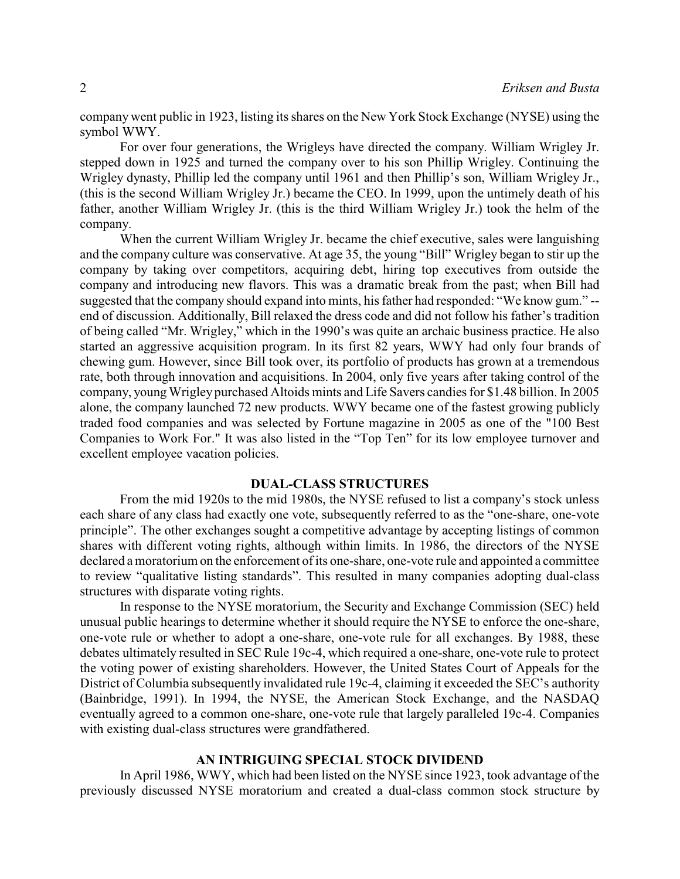company went public in 1923, listing its shares on the New York Stock Exchange (NYSE) using the symbol WWY.

For over four generations, the Wrigleys have directed the company. William Wrigley Jr. stepped down in 1925 and turned the company over to his son Phillip Wrigley. Continuing the Wrigley dynasty, Phillip led the company until 1961 and then Phillip's son, William Wrigley Jr., (this is the second William Wrigley Jr.) became the CEO. In 1999, upon the untimely death of his father, another William Wrigley Jr. (this is the third William Wrigley Jr.) took the helm of the company.

When the current William Wrigley Jr. became the chief executive, sales were languishing and the company culture was conservative. At age 35, the young "Bill" Wrigley began to stir up the company by taking over competitors, acquiring debt, hiring top executives from outside the company and introducing new flavors. This was a dramatic break from the past; when Bill had suggested that the company should expand into mints, his father had responded: "We know gum." - end of discussion. Additionally, Bill relaxed the dress code and did not follow his father's tradition of being called "Mr. Wrigley," which in the 1990's was quite an archaic business practice. He also started an aggressive acquisition program. In its first 82 years, WWY had only four brands of chewing gum. However, since Bill took over, its portfolio of products has grown at a tremendous rate, both through innovation and acquisitions. In 2004, only five years after taking control of the company, young Wrigley purchased Altoids mints and Life Savers candies for \$1.48 billion. In 2005 alone, the company launched 72 new products. WWY became one of the fastest growing publicly traded food companies and was selected by Fortune magazine in 2005 as one of the "100 Best Companies to Work For." It was also listed in the "Top Ten" for its low employee turnover and excellent employee vacation policies.

#### **DUAL-CLASS STRUCTURES**

From the mid 1920s to the mid 1980s, the NYSE refused to list a company's stock unless each share of any class had exactly one vote, subsequently referred to as the "one-share, one-vote principle". The other exchanges sought a competitive advantage by accepting listings of common shares with different voting rights, although within limits. In 1986, the directors of the NYSE declared a moratorium on the enforcement of its one-share, one-vote rule and appointed a committee to review "qualitative listing standards". This resulted in many companies adopting dual-class structures with disparate voting rights.

In response to the NYSE moratorium, the Security and Exchange Commission (SEC) held unusual public hearings to determine whether it should require the NYSE to enforce the one-share, one-vote rule or whether to adopt a one-share, one-vote rule for all exchanges. By 1988, these debates ultimately resulted in SEC Rule 19c-4, which required a one-share, one-vote rule to protect the voting power of existing shareholders. However, the United States Court of Appeals for the District of Columbia subsequently invalidated rule 19c-4, claiming it exceeded the SEC's authority (Bainbridge, 1991). In 1994, the NYSE, the American Stock Exchange, and the NASDAQ eventually agreed to a common one-share, one-vote rule that largely paralleled 19c-4. Companies with existing dual-class structures were grandfathered.

#### **AN INTRIGUING SPECIAL STOCK DIVIDEND**

In April 1986, WWY, which had been listed on the NYSE since 1923, took advantage of the previously discussed NYSE moratorium and created a dual-class common stock structure by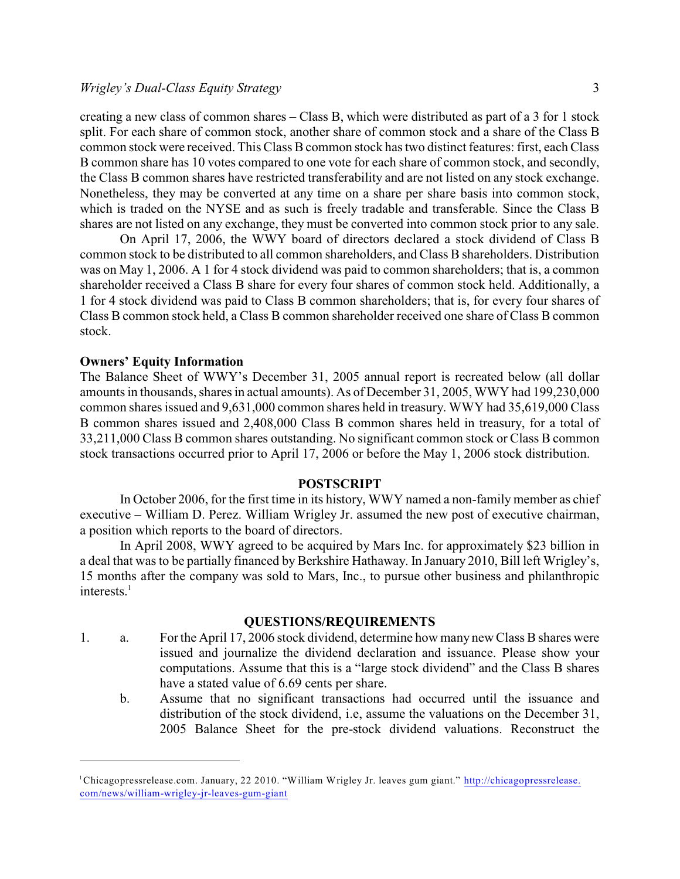creating a new class of common shares – Class B, which were distributed as part of a 3 for 1 stock split. For each share of common stock, another share of common stock and a share of the Class B common stock were received. This Class B common stock has two distinct features: first, each Class B common share has 10 votes compared to one vote for each share of common stock, and secondly, the Class B common shares have restricted transferability and are not listed on any stock exchange. Nonetheless, they may be converted at any time on a share per share basis into common stock, which is traded on the NYSE and as such is freely tradable and transferable. Since the Class B shares are not listed on any exchange, they must be converted into common stock prior to any sale.

On April 17, 2006, the WWY board of directors declared a stock dividend of Class B common stock to be distributed to all common shareholders, and Class B shareholders. Distribution was on May 1, 2006. A 1 for 4 stock dividend was paid to common shareholders; that is, a common shareholder received a Class B share for every four shares of common stock held. Additionally, a 1 for 4 stock dividend was paid to Class B common shareholders; that is, for every four shares of Class B common stock held, a Class B common shareholder received one share of Class B common stock.

### **Owners' Equity Information**

The Balance Sheet of WWY's December 31, 2005 annual report is recreated below (all dollar amounts in thousands, shares in actual amounts). As of December 31, 2005, WWY had 199,230,000 common shares issued and 9,631,000 common shares held in treasury. WWY had 35,619,000 Class B common shares issued and 2,408,000 Class B common shares held in treasury, for a total of 33,211,000 Class B common shares outstanding. No significant common stock or Class B common stock transactions occurred prior to April 17, 2006 or before the May 1, 2006 stock distribution.

#### **POSTSCRIPT**

In October 2006, for the first time in its history, WWY named a non-family member as chief executive – William D. Perez. William Wrigley Jr. assumed the new post of executive chairman, a position which reports to the board of directors.

In April 2008, WWY agreed to be acquired by Mars Inc. for approximately \$23 billion in a deal that was to be partially financed by Berkshire Hathaway. In January 2010, Bill left Wrigley's, 15 months after the company was sold to Mars, Inc., to pursue other business and philanthropic interests.<sup>1</sup>

## **QUESTIONS/REQUIREMENTS**

- 1. a. Forthe April 17, 2006 stock dividend, determine how many new Class B shares were issued and journalize the dividend declaration and issuance. Please show your computations. Assume that this is a "large stock dividend" and the Class B shares have a stated value of 6.69 cents per share.
	- b. Assume that no significant transactions had occurred until the issuance and distribution of the stock dividend, i.e, assume the valuations on the December 31, 2005 Balance Sheet for the pre-stock dividend valuations. Reconstruct the

<sup>&</sup>lt;sup>1</sup>Chicagopressrelease.com. January, 22 2010. "William Wrigley Jr. leaves gum giant." [http://chicagopressrelease.](http://chicagopressrelease.com/news/william-wrigley-jr-leaves-gum-giant) [com/news/william-wrigley-jr-leaves-gum-giant](http://chicagopressrelease.com/news/william-wrigley-jr-leaves-gum-giant)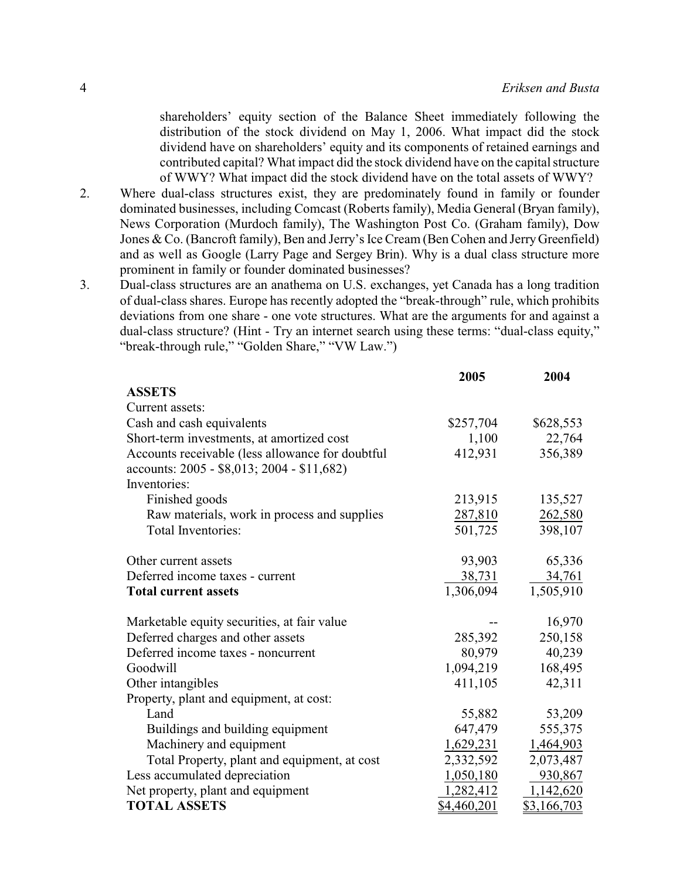shareholders' equity section of the Balance Sheet immediately following the distribution of the stock dividend on May 1, 2006. What impact did the stock dividend have on shareholders' equity and its components of retained earnings and contributed capital? What impact did the stock dividend have on the capital structure of WWY? What impact did the stock dividend have on the total assets of WWY?

- 2. Where dual-class structures exist, they are predominately found in family or founder dominated businesses, including Comcast (Roberts family), Media General (Bryan family), News Corporation (Murdoch family), The Washington Post Co. (Graham family), Dow Jones & Co. (Bancroft family), Ben and Jerry's Ice Cream (Ben Cohen and JerryGreenfield) and as well as Google (Larry Page and Sergey Brin). Why is a dual class structure more prominent in family or founder dominated businesses?
- 3. Dual-class structures are an anathema on U.S. exchanges, yet Canada has a long tradition of dual-class shares. Europe has recently adopted the "break-through" rule, which prohibits deviations from one share - one vote structures. What are the arguments for and against a dual-class structure? (Hint - Try an internet search using these terms: "dual-class equity," "break-through rule," "Golden Share," "VW Law.")

|                                                  | 2005        | 2004               |
|--------------------------------------------------|-------------|--------------------|
| <b>ASSETS</b>                                    |             |                    |
| Current assets:                                  |             |                    |
| Cash and cash equivalents                        | \$257,704   | \$628,553          |
| Short-term investments, at amortized cost        | 1,100       | 22,764             |
| Accounts receivable (less allowance for doubtful | 412,931     | 356,389            |
| accounts: 2005 - \$8,013; 2004 - \$11,682)       |             |                    |
| Inventories:                                     |             |                    |
| Finished goods                                   | 213,915     | 135,527            |
| Raw materials, work in process and supplies      | 287,810     | 262,580            |
| Total Inventories:                               | 501,725     | 398,107            |
|                                                  |             |                    |
| Other current assets                             | 93,903      | 65,336             |
| Deferred income taxes - current                  | 38,731      | 34,761             |
| <b>Total current assets</b>                      | 1,306,094   | 1,505,910          |
| Marketable equity securities, at fair value      |             | 16,970             |
| Deferred charges and other assets                | 285,392     | 250,158            |
| Deferred income taxes - noncurrent               | 80,979      | 40,239             |
| Goodwill                                         | 1,094,219   | 168,495            |
| Other intangibles                                | 411,105     | 42,311             |
| Property, plant and equipment, at cost:          |             |                    |
| Land                                             | 55,882      | 53,209             |
| Buildings and building equipment                 | 647,479     | 555,375            |
| Machinery and equipment                          | 1,629,231   | 1,464,903          |
| Total Property, plant and equipment, at cost     | 2,332,592   | 2,073,487          |
| Less accumulated depreciation                    | 1,050,180   | 930,867            |
| Net property, plant and equipment                | 1,282,412   | 1,142,620          |
| <b>TOTAL ASSETS</b>                              | \$4,460,201 | <u>\$3,166,703</u> |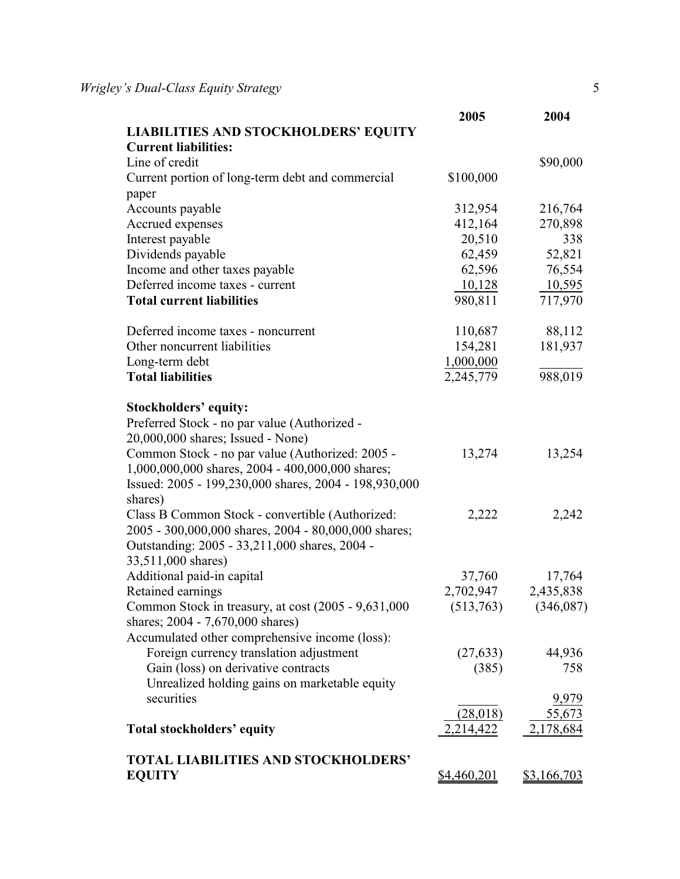|                                                                  | 2005        | 2004               |
|------------------------------------------------------------------|-------------|--------------------|
| <b>LIABILITIES AND STOCKHOLDERS' EQUITY</b>                      |             |                    |
| <b>Current liabilities:</b>                                      |             |                    |
| Line of credit                                                   |             | \$90,000           |
| Current portion of long-term debt and commercial                 | \$100,000   |                    |
| paper                                                            |             |                    |
| Accounts payable                                                 | 312,954     | 216,764            |
| Accrued expenses                                                 | 412,164     | 270,898            |
| Interest payable                                                 | 20,510      | 338                |
| Dividends payable                                                | 62,459      | 52,821             |
| Income and other taxes payable                                   | 62,596      | 76,554             |
| Deferred income taxes - current                                  | 10,128      | 10,595             |
| <b>Total current liabilities</b>                                 | 980,811     | 717,970            |
| Deferred income taxes - noncurrent                               | 110,687     | 88,112             |
| Other noncurrent liabilities                                     | 154,281     | 181,937            |
| Long-term debt                                                   | 1,000,000   |                    |
| <b>Total liabilities</b>                                         | 2,245,779   | 988,019            |
| Stockholders' equity:                                            |             |                    |
| Preferred Stock - no par value (Authorized -                     |             |                    |
| 20,000,000 shares; Issued - None)                                |             |                    |
| Common Stock - no par value (Authorized: 2005 -                  | 13,274      | 13,254             |
| 1,000,000,000 shares, 2004 - 400,000,000 shares;                 |             |                    |
| Issued: 2005 - 199,230,000 shares, 2004 - 198,930,000<br>shares) |             |                    |
| Class B Common Stock - convertible (Authorized:                  | 2,222       | 2,242              |
| 2005 - 300,000,000 shares, 2004 - 80,000,000 shares;             |             |                    |
| Outstanding: 2005 - 33,211,000 shares, 2004 -                    |             |                    |
| 33,511,000 shares)                                               |             |                    |
| Additional paid-in capital                                       | 37,760      | 17,764             |
| Retained earnings                                                | 2,702,947   | 2,435,838          |
| Common Stock in treasury, at cost (2005 - 9,631,000              | (513,763)   | (346,087)          |
| shares; 2004 - 7,670,000 shares)                                 |             |                    |
| Accumulated other comprehensive income (loss):                   |             |                    |
| Foreign currency translation adjustment                          | (27, 633)   | 44,936             |
| Gain (loss) on derivative contracts                              | (385)       | 758                |
| Unrealized holding gains on marketable equity                    |             |                    |
| securities                                                       |             | 9,979              |
|                                                                  | (28,018)    | 55,673             |
| Total stockholders' equity                                       | 2,214,422   | 2,178,684          |
| <b>TOTAL LIABILITIES AND STOCKHOLDERS'</b>                       |             |                    |
| <b>EQUITY</b>                                                    | \$4,460,201 | <u>\$3,166,703</u> |